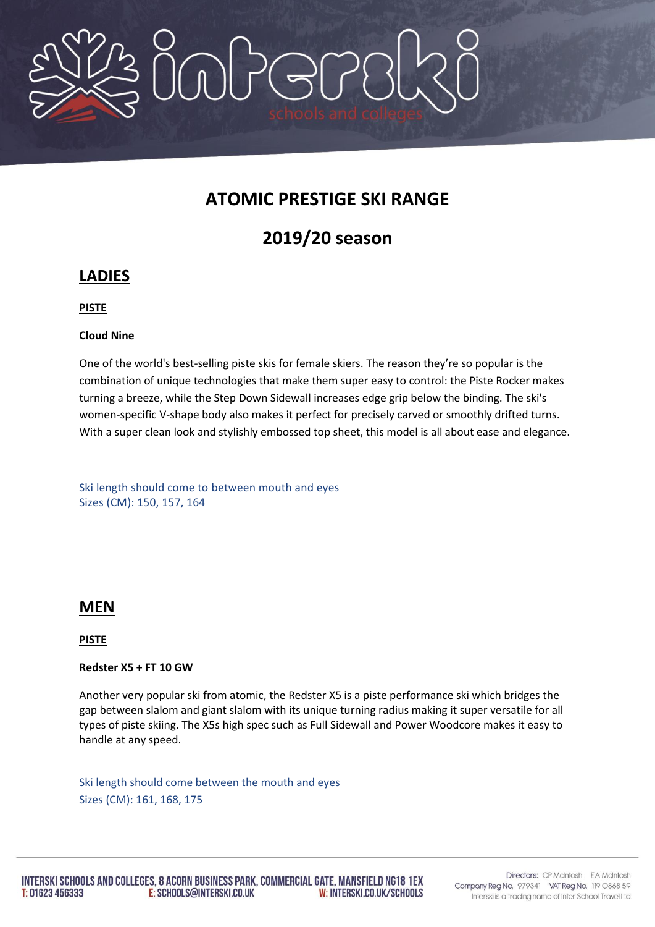

# **ATOMIC PRESTIGE SKI RANGE**

# **2019/20 season**

# **LADIES**

## **PISTE**

## **Cloud Nine**

One of the world's best-selling piste skis for female skiers. The reason they're so popular is the combination of unique technologies that make them super easy to control: the Piste Rocker makes turning a breeze, while the Step Down Sidewall increases edge grip below the binding. The ski's women-specific V-shape body also makes it perfect for precisely carved or smoothly drifted turns. With a super clean look and stylishly embossed top sheet, this model is all about ease and elegance.

Ski length should come to between mouth and eyes Sizes (CM): 150, 157, 164

## **MEN**

### **PISTE**

### **Redster X5 + FT 10 GW**

Another very popular ski from atomic, the Redster X5 is a piste performance ski which bridges the gap between slalom and giant slalom with its unique turning radius making it super versatile for all types of piste skiing. The X5s high spec such as Full Sidewall and Power Woodcore makes it easy to handle at any speed.

Ski length should come between the mouth and eyes Sizes (CM): 161, 168, 175